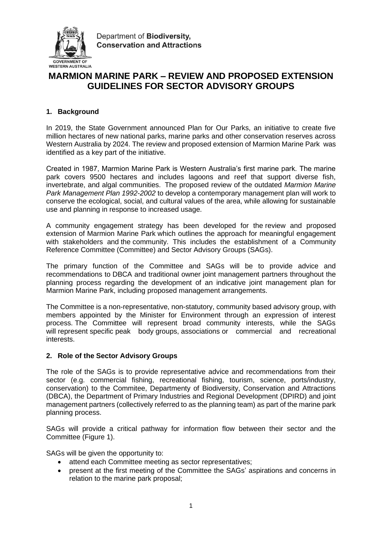

Department of Biodiversity. **Conservation and Attractions** 

# **MARMION MARINE PARK – REVIEW AND PROPOSED EXTENSION GUIDELINES FOR SECTOR ADVISORY GROUPS**

# **1. Background**

In 2019, the State Government announced Plan for Our Parks, an initiative to create five million hectares of new national parks, marine parks and other conservation reserves across Western Australia by 2024. The review and proposed extension of Marmion Marine Park was identified as a key part of the initiative.

Created in 1987, Marmion Marine Park is Western Australia's first marine park. The marine park covers 9500 hectares and includes lagoons and reef that support diverse fish, invertebrate, and algal communities. The proposed review of the outdated *Marmion Marine Park Management Plan 1992-2002* to develop a contemporary management plan will work to conserve the ecological, social, and cultural values of the area, while allowing for sustainable use and planning in response to increased usage.

A community engagement strategy has been developed for the review and proposed extension of Marmion Marine Park which outlines the approach for meaningful engagement with stakeholders and the community. This includes the establishment of a Community Reference Committee (Committee) and Sector Advisory Groups (SAGs).

The primary function of the Committee and SAGs will be to provide advice and recommendations to DBCA and traditional owner joint management partners throughout the planning process regarding the development of an indicative joint management plan for Marmion Marine Park, including proposed management arrangements.

The Committee is a non-representative, non-statutory, community based advisory group, with members appointed by the Minister for Environment through an expression of interest process. The Committee will represent broad community interests, while the SAGs will represent specific peak body groups, associations or commercial and recreational interests.

## **2. Role of the Sector Advisory Groups**

The role of the SAGs is to provide representative advice and recommendations from their sector (e.g. commercial fishing, recreational fishing, tourism, science, ports/industry, conservation) to the Commitee, Departmenty of Biodiversity, Conservation and Attractions (DBCA), the Department of Primary Industries and Regional Development (DPIRD) and joint management partners (collectively referred to as the planning team) as part of the marine park planning process.

SAGs will provide a critical pathway for information flow between their sector and the Committee (Figure 1).

SAGs will be given the opportunity to:

- attend each Committee meeting as sector representatives;
- present at the first meeting of the Committee the SAGs' aspirations and concerns in relation to the marine park proposal;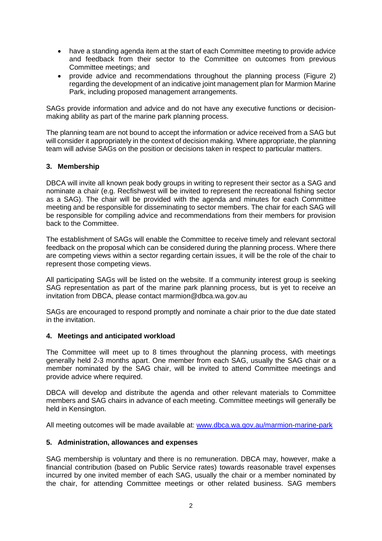- have a standing agenda item at the start of each Committee meeting to provide advice and feedback from their sector to the Committee on outcomes from previous Committee meetings; and
- provide advice and recommendations throughout the planning process (Figure 2) regarding the development of an indicative joint management plan for Marmion Marine Park, including proposed management arrangements.

SAGs provide information and advice and do not have any executive functions or decisionmaking ability as part of the marine park planning process.

The planning team are not bound to accept the information or advice received from a SAG but will consider it appropriately in the context of decision making. Where appropriate, the planning team will advise SAGs on the position or decisions taken in respect to particular matters.

## **3. Membership**

DBCA will invite all known peak body groups in writing to represent their sector as a SAG and nominate a chair (e.g. Recfishwest will be invited to represent the recreational fishing sector as a SAG). The chair will be provided with the agenda and minutes for each Committee meeting and be responsible for disseminating to sector members. The chair for each SAG will be responsible for compiling advice and recommendations from their members for provision back to the Committee.

The establishment of SAGs will enable the Committee to receive timely and relevant sectoral feedback on the proposal which can be considered during the planning process. Where there are competing views within a sector regarding certain issues, it will be the role of the chair to represent those competing views.

All participating SAGs will be listed on the website. If a community interest group is seeking SAG representation as part of the marine park planning process, but is yet to receive an invitation from DBCA, please contact marmion@dbca.wa.gov.au

SAGs are encouraged to respond promptly and nominate a chair prior to the due date stated in the invitation.

#### **4. Meetings and anticipated workload**

The Committee will meet up to 8 times throughout the planning process, with meetings generally held 2-3 months apart. One member from each SAG, usually the SAG chair or a member nominated by the SAG chair, will be invited to attend Committee meetings and provide advice where required.

DBCA will develop and distribute the agenda and other relevant materials to Committee members and SAG chairs in advance of each meeting. Committee meetings will generally be held in Kensington.

All meeting outcomes will be made available at: [www.dbca.wa.gov.au/marmion-marine-park](http://www.dbca.wa.gov.au/marmion-marine-park)

## **5. Administration, allowances and expenses**

SAG membership is voluntary and there is no remuneration. DBCA may, however, make a financial contribution (based on Public Service rates) towards reasonable travel expenses incurred by one invited member of each SAG, usually the chair or a member nominated by the chair, for attending Committee meetings or other related business. SAG members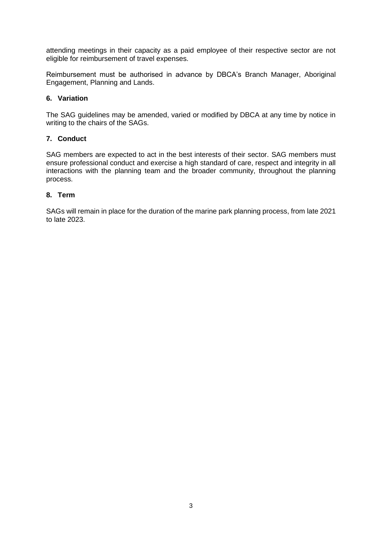attending meetings in their capacity as a paid employee of their respective sector are not eligible for reimbursement of travel expenses.

Reimbursement must be authorised in advance by DBCA's Branch Manager, Aboriginal Engagement, Planning and Lands.

## **6. Variation**

The SAG guidelines may be amended, varied or modified by DBCA at any time by notice in writing to the chairs of the SAGs.

## **7. Conduct**

SAG members are expected to act in the best interests of their sector. SAG members must ensure professional conduct and exercise a high standard of care, respect and integrity in all interactions with the planning team and the broader community, throughout the planning process.

## **8. Term**

SAGs will remain in place for the duration of the marine park planning process, from late 2021 to late 2023.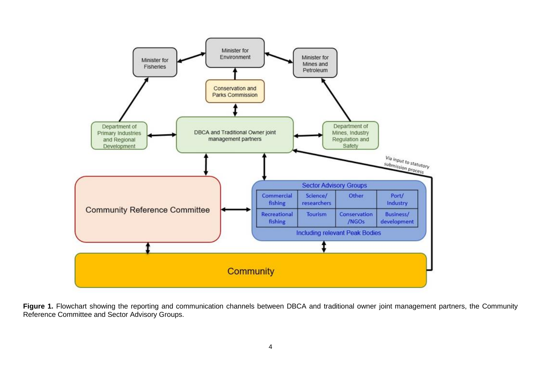

Figure 1. Flowchart showing the reporting and communication channels between DBCA and traditional owner joint management partners, the Community Reference Committee and Sector Advisory Groups.